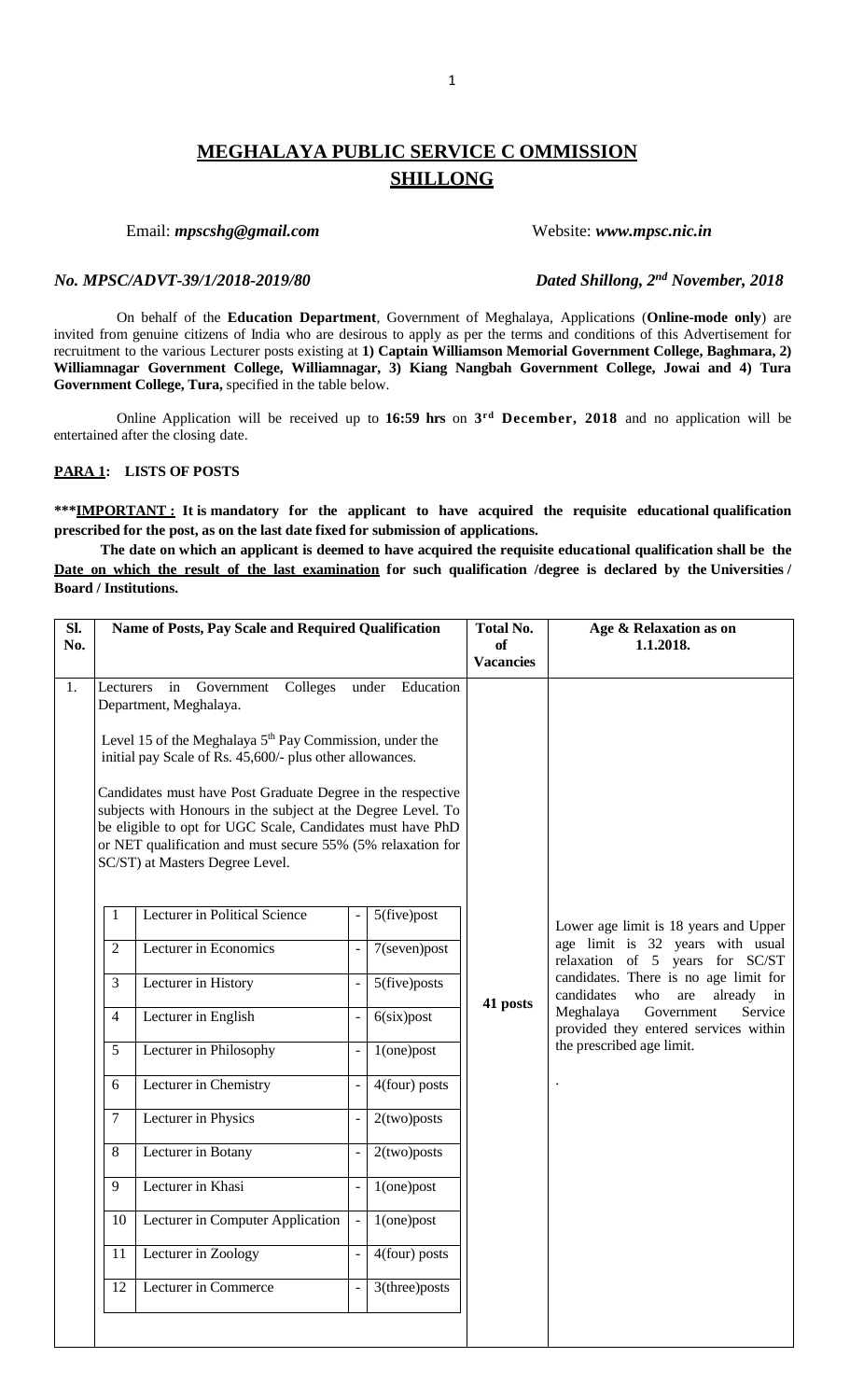# **MEGHALAYA PUBLIC SERVICE C OMMISSION SHILLONG**

# Email: *mpscshg@gmail.com* Website: *www.mpsc.nic.in*

# *No. MPSC/ADVT-39/1/2018-2019/80*

On behalf of the **Education Department**, Government of Meghalaya, Applications (**Online-mode only**) are invited from genuine citizens of India who are desirous to apply as per the terms and conditions of this Advertisement for recruitment to the various Lecturer posts existing at **1) Captain Williamson Memorial Government College, Baghmara, 2) Williamnagar Government College, Williamnagar, 3) Kiang Nangbah Government College, Jowai and 4) Tura Government College, Tura,** specified in the table below.

Online Application will be received up to **16:59 hrs** on **3 rd December, 2018** and no application will be entertained after the closing date.

# **PARA 1: LISTS OF POSTS**

**\*\*\*IMPORTANT : It is mandatory for the applicant to have acquired the requisite educational qualification prescribed for the post, as on the last date fixed for submission of applications.**

**The date on which an applicant is deemed to have acquired the requisite educational qualification shall be the Date on which the result of the last examination for such qualification /degree is declared by the Universities / Board / Institutions.**

| Sl.<br>No. |                                                                                                                                                                                                                                                                                             | Name of Posts, Pay Scale and Required Qualification |  |                  | <b>Total No.</b><br><b>of</b><br><b>Vacancies</b> | Age & Relaxation as on<br>1.1.2018.                                             |
|------------|---------------------------------------------------------------------------------------------------------------------------------------------------------------------------------------------------------------------------------------------------------------------------------------------|-----------------------------------------------------|--|------------------|---------------------------------------------------|---------------------------------------------------------------------------------|
| 1.         | in Government<br>Colleges<br>under Education<br>Lecturers<br>Department, Meghalaya.                                                                                                                                                                                                         |                                                     |  |                  |                                                   |                                                                                 |
|            | Level 15 of the Meghalaya 5 <sup>th</sup> Pay Commission, under the<br>initial pay Scale of Rs. 45,600/- plus other allowances.                                                                                                                                                             |                                                     |  |                  |                                                   |                                                                                 |
|            | Candidates must have Post Graduate Degree in the respective<br>subjects with Honours in the subject at the Degree Level. To<br>be eligible to opt for UGC Scale, Candidates must have PhD<br>or NET qualification and must secure 55% (5% relaxation for<br>SC/ST) at Masters Degree Level. |                                                     |  |                  |                                                   |                                                                                 |
|            | $\mathbf{1}$                                                                                                                                                                                                                                                                                | Lecturer in Political Science                       |  | $5$ (five)post   |                                                   | Lower age limit is 18 years and Upper                                           |
|            | $\overline{2}$                                                                                                                                                                                                                                                                              | Lecturer in Economics                               |  | $7$ (seven) post |                                                   | age limit is 32 years with usual<br>relaxation of 5 years for SC/ST             |
|            | 3                                                                                                                                                                                                                                                                                           | Lecturer in History                                 |  | 5(five)posts     |                                                   | candidates. There is no age limit for<br>candidates<br>who<br>already in<br>are |
|            | 4                                                                                                                                                                                                                                                                                           | Lecturer in English                                 |  | 6(six)post       | 41 posts                                          | Meghalaya<br>Government<br>Service<br>provided they entered services within     |
|            | 5                                                                                                                                                                                                                                                                                           | Lecturer in Philosophy                              |  | $1$ (one) post   |                                                   | the prescribed age limit.                                                       |
|            | 6                                                                                                                                                                                                                                                                                           | Lecturer in Chemistry                               |  | 4(four) posts    |                                                   |                                                                                 |
|            | 7                                                                                                                                                                                                                                                                                           | Lecturer in Physics                                 |  | 2(two) posts     |                                                   |                                                                                 |
|            | 8                                                                                                                                                                                                                                                                                           | Lecturer in Botany                                  |  | 2(two) posts     |                                                   |                                                                                 |
|            | 9                                                                                                                                                                                                                                                                                           | Lecturer in Khasi                                   |  | $1$ (one) post   |                                                   |                                                                                 |
|            | 10                                                                                                                                                                                                                                                                                          | Lecturer in Computer Application                    |  | $1$ (one) post   |                                                   |                                                                                 |
|            | 11                                                                                                                                                                                                                                                                                          | Lecturer in Zoology                                 |  | 4(four) posts    |                                                   |                                                                                 |
|            |                                                                                                                                                                                                                                                                                             |                                                     |  |                  |                                                   |                                                                                 |

*Dated Shillong, 2<sup>nd</sup> November, 2018*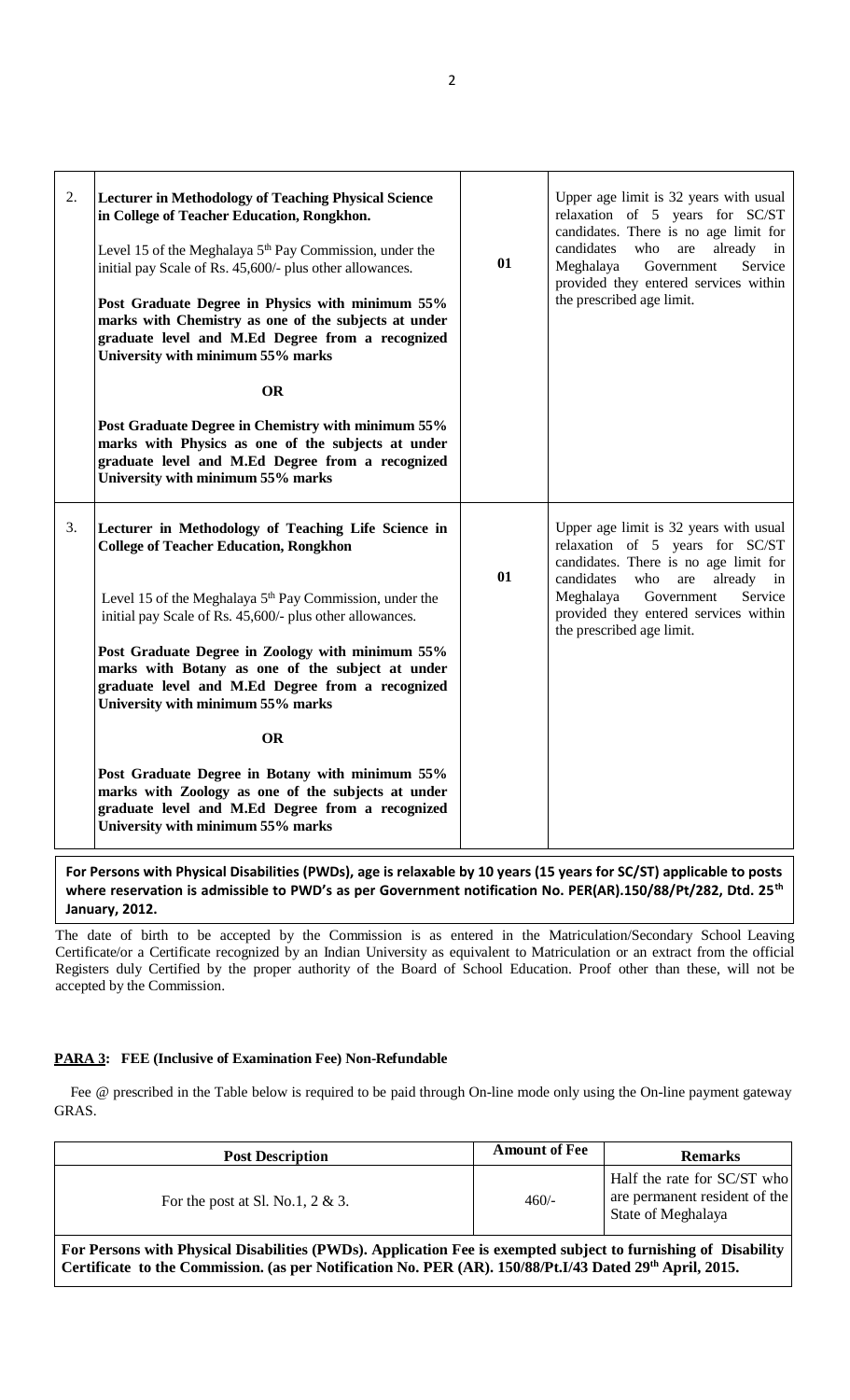| 2. | <b>Lecturer in Methodology of Teaching Physical Science</b><br>in College of Teacher Education, Rongkhon.<br>Level 15 of the Meghalaya 5 <sup>th</sup> Pay Commission, under the<br>initial pay Scale of Rs. 45,600/- plus other allowances.<br>Post Graduate Degree in Physics with minimum 55%<br>marks with Chemistry as one of the subjects at under<br>graduate level and M.Ed Degree from a recognized<br>University with minimum 55% marks<br><b>OR</b> | 01 | Upper age limit is 32 years with usual<br>relaxation of 5 years for SC/ST<br>candidates. There is no age limit for<br>candidates<br>who<br>already<br>are<br>in<br>Meghalaya<br>Government<br>Service<br>provided they entered services within<br>the prescribed age limit. |
|----|----------------------------------------------------------------------------------------------------------------------------------------------------------------------------------------------------------------------------------------------------------------------------------------------------------------------------------------------------------------------------------------------------------------------------------------------------------------|----|-----------------------------------------------------------------------------------------------------------------------------------------------------------------------------------------------------------------------------------------------------------------------------|
|    | Post Graduate Degree in Chemistry with minimum 55%<br>marks with Physics as one of the subjects at under<br>graduate level and M.Ed Degree from a recognized<br>University with minimum 55% marks                                                                                                                                                                                                                                                              |    |                                                                                                                                                                                                                                                                             |
| 3. | Lecturer in Methodology of Teaching Life Science in<br><b>College of Teacher Education, Rongkhon</b>                                                                                                                                                                                                                                                                                                                                                           | 01 | Upper age limit is 32 years with usual<br>relaxation of 5 years for SC/ST<br>candidates. There is no age limit for<br>candidates<br>who<br>already<br>are<br>in                                                                                                             |
|    | Level 15 of the Meghalaya 5 <sup>th</sup> Pay Commission, under the<br>initial pay Scale of Rs. 45,600/- plus other allowances.                                                                                                                                                                                                                                                                                                                                |    | Meghalaya<br>Government<br>Service<br>provided they entered services within<br>the prescribed age limit.                                                                                                                                                                    |
|    | Post Graduate Degree in Zoology with minimum 55%<br>marks with Botany as one of the subject at under<br>graduate level and M.Ed Degree from a recognized<br>University with minimum 55% marks                                                                                                                                                                                                                                                                  |    |                                                                                                                                                                                                                                                                             |
|    | <b>OR</b>                                                                                                                                                                                                                                                                                                                                                                                                                                                      |    |                                                                                                                                                                                                                                                                             |
|    | Post Graduate Degree in Botany with minimum 55%<br>marks with Zoology as one of the subjects at under<br>graduate level and M.Ed Degree from a recognized<br>University with minimum 55% marks                                                                                                                                                                                                                                                                 |    |                                                                                                                                                                                                                                                                             |

**For Persons with Physical Disabilities (PWDs), age is relaxable by 10 years (15 years for SC/ST) applicable to posts where reservation is admissible to PWD's as per Government notification No. PER(AR).150/88/Pt/282, Dtd. 25th January, 2012.**

The date of birth to be accepted by the Commission is as entered in the Matriculation/Secondary School Leaving Certificate/or a Certificate recognized by an Indian University as equivalent to Matriculation or an extract from the official Registers duly Certified by the proper authority of the Board of School Education. Proof other than these, will not be accepted by the Commission.

# **PARA 3: FEE (Inclusive of Examination Fee) Non-Refundable**

Fee @ prescribed in the Table below is required to be paid through On-line mode only using the On-line payment gateway GRAS.

| <b>Post Description</b>                                                                                                                                                                                                                | <b>Amount of Fee</b> | <b>Remarks</b>                                                                     |
|----------------------------------------------------------------------------------------------------------------------------------------------------------------------------------------------------------------------------------------|----------------------|------------------------------------------------------------------------------------|
| For the post at Sl. No.1, $2 & 3$ .                                                                                                                                                                                                    | $460/-$              | Half the rate for SC/ST who<br>are permanent resident of the<br>State of Meghalaya |
| For Persons with Physical Disabilities (PWDs). Application Fee is exempted subject to furnishing of Disability<br>Certificate to the Commission. (as per Notification No. PER (AR). 150/88/Pt.I/43 Dated 29 <sup>th</sup> April, 2015. |                      |                                                                                    |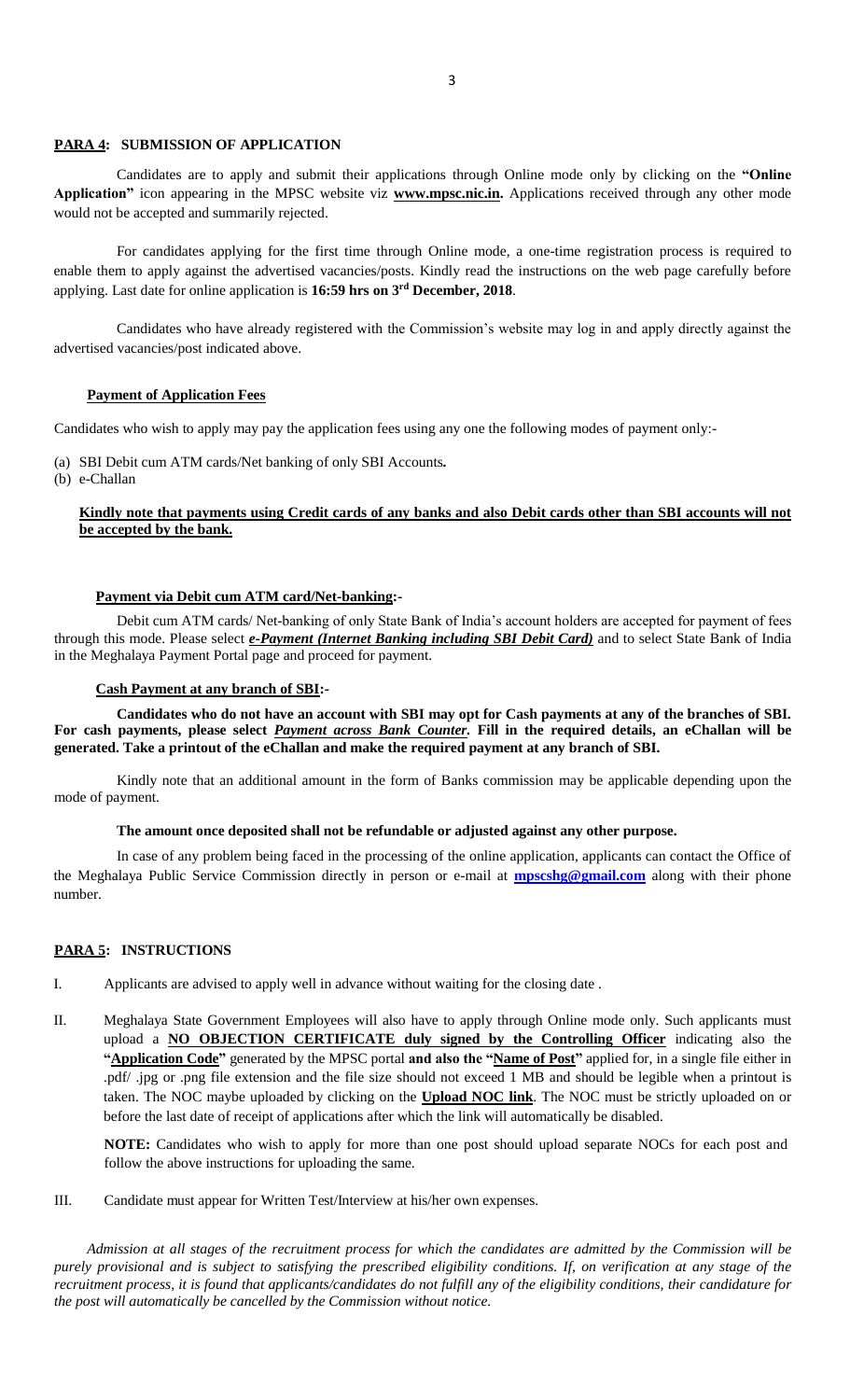# **PARA 4: SUBMISSION OF APPLICATION**

 Candidates are to apply and submit their applications through Online mode only by clicking on the **"Online Application"** icon appearing in the MPSC website viz **www.mpsc.nic.in.** Applications received through any other mode would not be accepted and summarily rejected.

For candidates applying for the first time through Online mode, a one-time registration process is required to enable them to apply against the advertised vacancies/posts. Kindly read the instructions on the web page carefully before applying. Last date for online application is **16:59 hrs on 3 rd December, 2018**.

 Candidates who have already registered with the Commission's website may log in and apply directly against the advertised vacancies/post indicated above.

### **Payment of Application Fees**

Candidates who wish to apply may pay the application fees using any one the following modes of payment only:-

(a) SBI Debit cum ATM cards/Net banking of only SBI Accounts*.*

(b) e-Challan

# **Kindly note that payments using Credit cards of any banks and also Debit cards other than SBI accounts will not be accepted by the bank.**

### **Payment via Debit cum ATM card/Net-banking:-**

Debit cum ATM cards/ Net-banking of only State Bank of India's account holders are accepted for payment of fees through this mode. Please select *e-Payment (Internet Banking including SBI Debit Card)* and to select State Bank of India in the Meghalaya Payment Portal page and proceed for payment.

#### **Cash Payment at any branch of SBI:-**

**Candidates who do not have an account with SBI may opt for Cash payments at any of the branches of SBI. For cash payments, please select** *Payment across Bank Counter.* **Fill in the required details, an eChallan will be generated. Take a printout of the eChallan and make the required payment at any branch of SBI.**

Kindly note that an additional amount in the form of Banks commission may be applicable depending upon the mode of payment.

# **The amount once deposited shall not be refundable or adjusted against any other purpose.**

 In case of any problem being faced in the processing of the online application, applicants can contact the Office of the Meghalaya Public Service Commission directly in person or e-mail at **[mpscshg@gmail.com](mailto:mpscshg@gmail.com)** along with their phone number.

#### **PARA 5: INSTRUCTIONS**

- I. Applicants are advised to apply well in advance without waiting for the closing date .
- II. Meghalaya State Government Employees will also have to apply through Online mode only. Such applicants must upload a **NO OBJECTION CERTIFICATE duly signed by the Controlling Officer** indicating also the **"Application Code"** generated by the MPSC portal **and also the "Name of Post"** applied for, in a single file either in .pdf/ .jpg or .png file extension and the file size should not exceed 1 MB and should be legible when a printout is taken. The NOC maybe uploaded by clicking on the **Upload NOC link**. The NOC must be strictly uploaded on or before the last date of receipt of applications after which the link will automatically be disabled.

**NOTE:** Candidates who wish to apply for more than one post should upload separate NOCs for each post and follow the above instructions for uploading the same.

III. Candidate must appear for Written Test/Interview at his/her own expenses.

 *Admission at all stages of the recruitment process for which the candidates are admitted by the Commission will be purely provisional and is subject to satisfying the prescribed eligibility conditions. If, on verification at any stage of the recruitment process, it is found that applicants/candidates do not fulfill any of the eligibility conditions, their candidature for the post will automatically be cancelled by the Commission without notice.*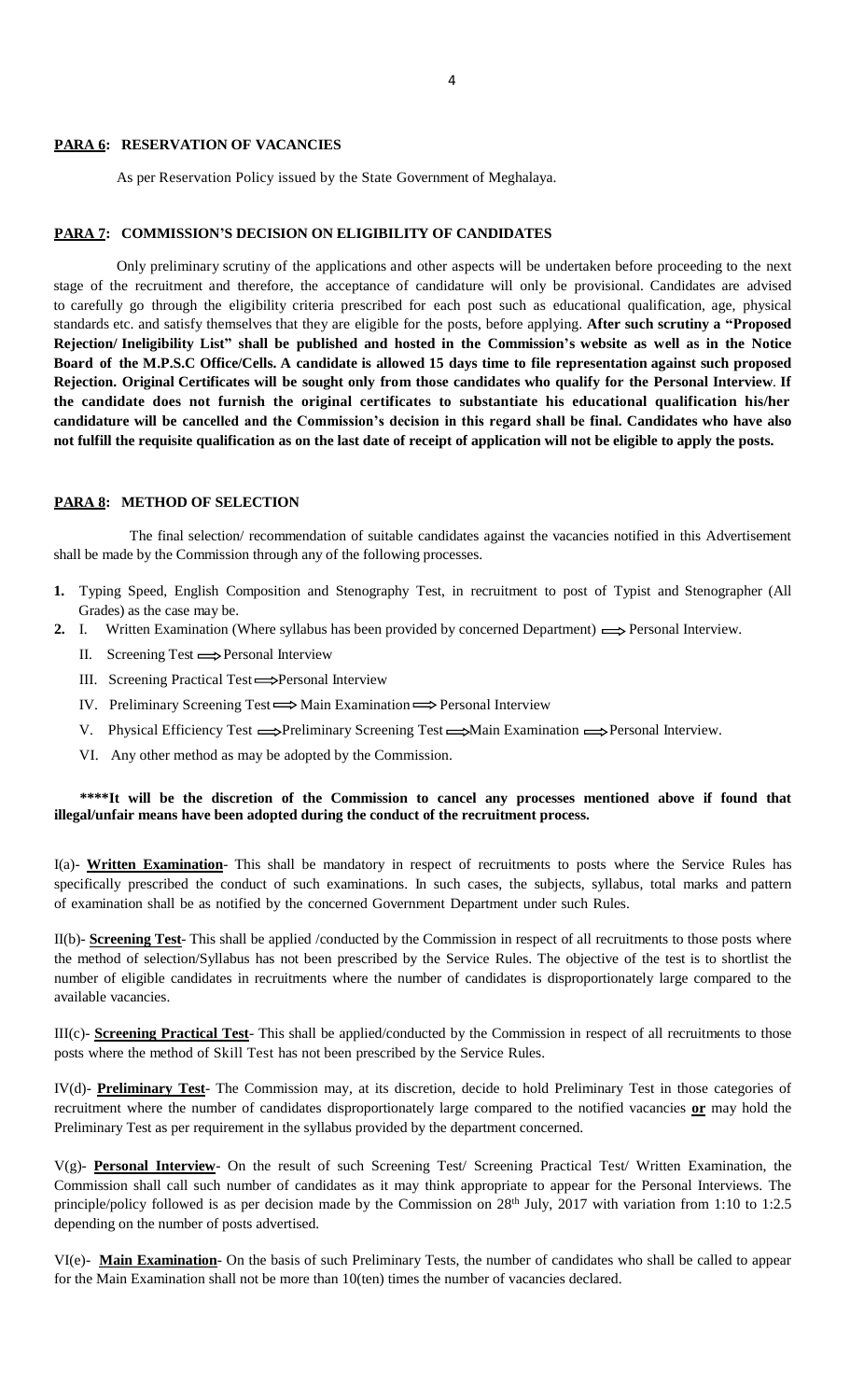#### **PARA 6: RESERVATION OF VACANCIES**

As per Reservation Policy issued by the State Government of Meghalaya.

# **PARA 7: COMMISSION'S DECISION ON ELIGIBILITY OF CANDIDATES**

Only preliminary scrutiny of the applications and other aspects will be undertaken before proceeding to the next stage of the recruitment and therefore, the acceptance of candidature will only be provisional. Candidates are advised to carefully go through the eligibility criteria prescribed for each post such as educational qualification, age, physical standards etc. and satisfy themselves that they are eligible for the posts, before applying. **After such scrutiny a "Proposed** Rejection/Ineligibility List" shall be published and hosted in the Commission's website as well as in the Notice Board of the M.P.S.C Office/Cells. A candidate is allowed 15 days time to file representation against such proposed Rejection. Original Certificates will be sought only from those candidates who qualify for the Personal Interview. If **the candidate does not furnish the original certificates to substantiate his educational qualification his/her candidature will be cancelled and the Commission's decision in this regard shall be final. Candidates who have also not fulfill the requisite qualification as on the last date of receipt of application will not be eligible to apply the posts.**

#### **PARA 8: METHOD OF SELECTION**

 The final selection/ recommendation of suitable candidates against the vacancies notified in this Advertisement shall be made by the Commission through any of the following processes.

- **1.** Typing Speed, English Composition and Stenography Test, in recruitment to post of Typist and Stenographer (All Grades) as the case may be.
- **2.** I. Written Examination (Where syllabus has been provided by concerned Department)  $\implies$  Personal Interview.
	- II. Screening Test  $\Longrightarrow$  Personal Interview
	- III. Screening Practical Test 
	Screening Practical Test  $\implies$  Personal Interview
	- IV. Preliminary Screening Test  $\Longrightarrow$  Main Examination  $\Longrightarrow$  Personal Interview
	- V. Physical Efficiency Test  $\Longrightarrow$ Preliminary Screening Test  $\Longrightarrow$ Main Examination  $\Longrightarrow$ Personal Interview.
	- VI. Any other method as may be adopted by the Commission.

# **\*\*\*\*It will be the discretion of the Commission to cancel any processes mentioned above if found that illegal/unfair means have been adopted during the conduct of the recruitment process.**

I(a)- **Written Examination**- This shall be mandatory in respect of recruitments to posts where the Service Rules has specifically prescribed the conduct of such examinations. In such cases, the subjects, syllabus, total marks and pattern of examination shall be as notified by the concerned Government Department under such Rules.

II(b)- **Screening Test**- This shall be applied /conducted by the Commission in respect of all recruitments to those posts where the method of selection/Syllabus has not been prescribed by the Service Rules. The objective of the test is to shortlist the number of eligible candidates in recruitments where the number of candidates is disproportionately large compared to the available vacancies.

III(c)- **Screening Practical Test**- This shall be applied/conducted by the Commission in respect of all recruitments to those posts where the method of Skill Test has not been prescribed by the Service Rules.

IV(d)- **Preliminary Test**- The Commission may, at its discretion, decide to hold Preliminary Test in those categories of recruitment where the number of candidates disproportionately large compared to the notified vacancies **or** may hold the Preliminary Test as per requirement in the syllabus provided by the department concerned.

V(g)- **Personal Interview**- On the result of such Screening Test/ Screening Practical Test/ Written Examination, the Commission shall call such number of candidates as it may think appropriate to appear for the Personal Interviews. The principle/policy followed is as per decision made by the Commission on 28<sup>th</sup> July, 2017 with variation from 1:10 to 1:2.5 depending on the number of posts advertised.

VI(e)- **Main Examination**- On the basis of such Preliminary Tests, the number of candidates who shall be called to appear for the Main Examination shall not be more than 10(ten) times the number of vacancies declared.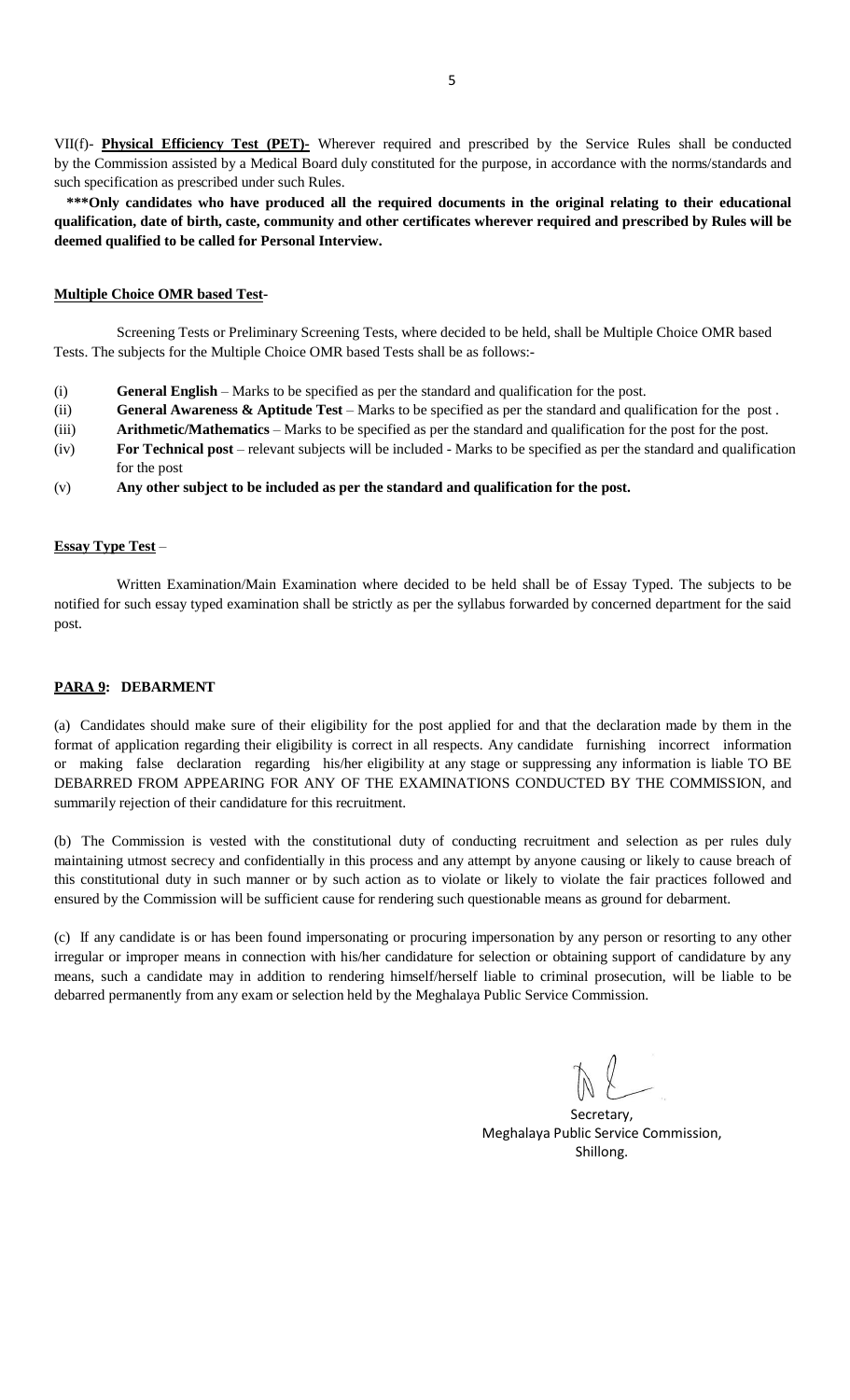VII(f)- **Physical Efficiency Test (PET)-** Wherever required and prescribed by the Service Rules shall be conducted by the Commission assisted by a Medical Board duly constituted for the purpose, in accordance with the norms/standards and such specification as prescribed under such Rules.

**\*\*\*Only candidates who have produced all the required documents in the original relating to their educational qualification, date of birth, caste, community and other certificates wherever required and prescribed by Rules will be deemed qualified to be called for Personal Interview.**

# **Multiple Choice OMR based Test-**

Screening Tests or Preliminary Screening Tests, where decided to be held, shall be Multiple Choice OMR based Tests. The subjects for the Multiple Choice OMR based Tests shall be as follows:-

- (i) **General English** Marks to be specified as per the standard and qualification for the post.
- (ii) **General Awareness & Aptitude Test** Marks to be specified as per the standard and qualification for the post .
- (iii) **Arithmetic/Mathematics** Marks to be specified as per the standard and qualification for the post for the post.
- (iv) **For Technical post** relevant subjects will be included Marks to be specified as per the standard and qualification for the post
- (v) **Any other subject to be included as per the standard and qualification for the post.**

# **Essay Type Test** –

Written Examination/Main Examination where decided to be held shall be of Essay Typed. The subjects to be notified for such essay typed examination shall be strictly as per the syllabus forwarded by concerned department for the said post.

# **PARA 9: DEBARMENT**

(a) Candidates should make sure of their eligibility for the post applied for and that the declaration made by them in the format of application regarding their eligibility is correct in all respects. Any candidate furnishing incorrect information or making false declaration regarding his/her eligibility at any stage or suppressing any information is liable TO BE DEBARRED FROM APPEARING FOR ANY OF THE EXAMINATIONS CONDUCTED BY THE COMMISSION, and summarily rejection of their candidature for this recruitment.

(b) The Commission is vested with the constitutional duty of conducting recruitment and selection as per rules duly maintaining utmost secrecy and confidentially in this process and any attempt by anyone causing or likely to cause breach of this constitutional duty in such manner or by such action as to violate or likely to violate the fair practices followed and ensured by the Commission will be sufficient cause for rendering such questionable means as ground for debarment.

(c) If any candidate is or has been found impersonating or procuring impersonation by any person or resorting to any other irregular or improper means in connection with his/her candidature for selection or obtaining support of candidature by any means, such a candidate may in addition to rendering himself/herself liable to criminal prosecution, will be liable to be debarred permanently from any exam or selection held by the Meghalaya Public Service Commission.

Secretary, Meghalaya Public Service Commission, Shillong.